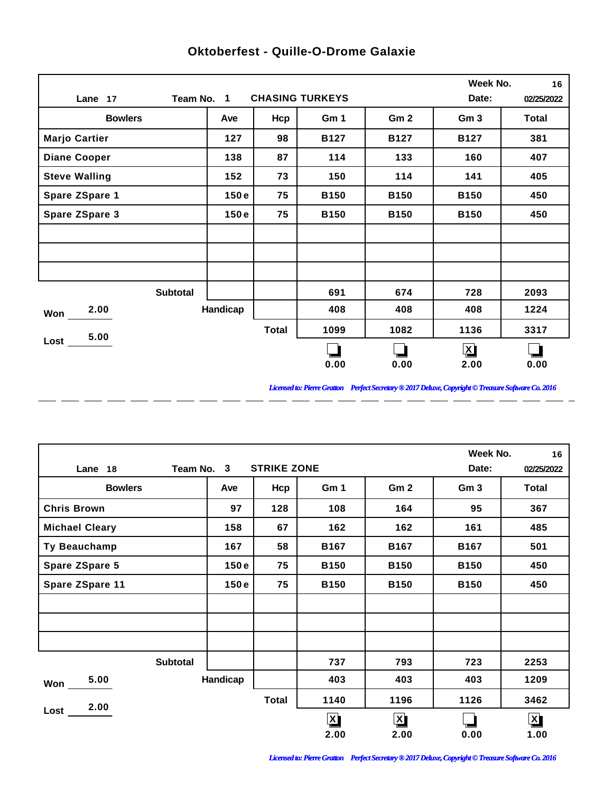|                       |            |              |                        |                 | Week No.            | 16         |
|-----------------------|------------|--------------|------------------------|-----------------|---------------------|------------|
| Lane 17               | Team No. 1 |              | <b>CHASING TURKEYS</b> |                 | Date:               | 02/25/2022 |
| <b>Bowlers</b>        | Ave        | Hcp          | Gm 1                   | Gm <sub>2</sub> | Gm <sub>3</sub>     | Total      |
| <b>Marjo Cartier</b>  | 127        | 98           | <b>B127</b>            | <b>B127</b>     | <b>B127</b>         | 381        |
| <b>Diane Cooper</b>   | 138        | 87           | 114                    | 133             | 160                 | 407        |
| <b>Steve Walling</b>  | 152        | 73           | 150                    | 114             | 141                 | 405        |
| Spare ZSpare 1        | 150e       | 75           | <b>B150</b>            | <b>B150</b>     | <b>B150</b>         | 450        |
| <b>Spare ZSpare 3</b> | 150e       | 75           | <b>B150</b>            | <b>B150</b>     | <b>B150</b>         | 450        |
|                       |            |              |                        |                 |                     |            |
|                       |            |              |                        |                 |                     |            |
|                       |            |              |                        |                 |                     |            |
| <b>Subtotal</b>       |            |              | 691                    | 674             | 728                 | 2093       |
| 2.00<br>Won           | Handicap   |              | 408                    | 408             | 408                 | 1224       |
| 5.00                  |            | <b>Total</b> | 1099                   | 1082            | 1136                | 3317       |
| Lost                  |            |              |                        |                 | $\bm{\mathsf{X}}$ ) |            |
|                       |            |              | 0.00                   | 0.00            | 2.00                | 0.00       |

 $\overline{a}$ 

 $\overline{a}$ 

 $\overline{a}$ 

 $\overline{\phantom{a}}$ 

 $\overline{a}$ 

 $-$ 

 $\overline{a}$ 

 $\overline{a}$ 

## **Oktoberfest - Quille-O-Drome Galaxie**

*Licensed to: Pierre Gratton Perfect Secretary ® 2017 Deluxe, Copyright © Treasure Software Co. 2016*

<u> 2002 - 2003 - 2003 - 2003 - 2003 - 2003 - 2003 - 2003 - 2003 - 2003 - 2003 - 2003 - 2003 - 2003 - 2003 - 200</u>

|                       |                                  |              |                         |                 | Week No.        | 16                      |  |
|-----------------------|----------------------------------|--------------|-------------------------|-----------------|-----------------|-------------------------|--|
| Lane 18               | <b>STRIKE ZONE</b><br>Team No. 3 |              |                         |                 |                 |                         |  |
| <b>Bowlers</b>        | Ave                              | Hcp          | Gm 1                    | Gm <sub>2</sub> | Gm <sub>3</sub> | Total                   |  |
| <b>Chris Brown</b>    | 97                               | 128          | 108                     | 164             | 95              | 367                     |  |
| <b>Michael Cleary</b> | 158                              | 67           | 162                     | 162             | 161             | 485                     |  |
| Ty Beauchamp          | 167                              | 58           | <b>B167</b>             | <b>B167</b>     | <b>B167</b>     | 501                     |  |
| <b>Spare ZSpare 5</b> | 150e                             | 75           | <b>B150</b>             | <b>B150</b>     | <b>B150</b>     | 450                     |  |
| Spare ZSpare 11       | 150e                             | 75           | <b>B150</b>             | <b>B150</b>     | <b>B150</b>     | 450                     |  |
|                       |                                  |              |                         |                 |                 |                         |  |
|                       |                                  |              |                         |                 |                 |                         |  |
|                       |                                  |              |                         |                 |                 |                         |  |
| <b>Subtotal</b>       |                                  |              | 737                     | 793             | 723             | 2253                    |  |
| 5.00<br>Won           | Handicap                         |              | 403                     | 403             | 403             | 1209                    |  |
| 2.00                  |                                  | <b>Total</b> | 1140                    | 1196            | 1126            | 3462                    |  |
| Lost                  |                                  |              | $\overline{\mathsf{X}}$ | $\mathbf{X}$    |                 | $\overline{\mathbf{X}}$ |  |
|                       |                                  |              | 2.00                    | 2.00            | 0.00            | 1.00                    |  |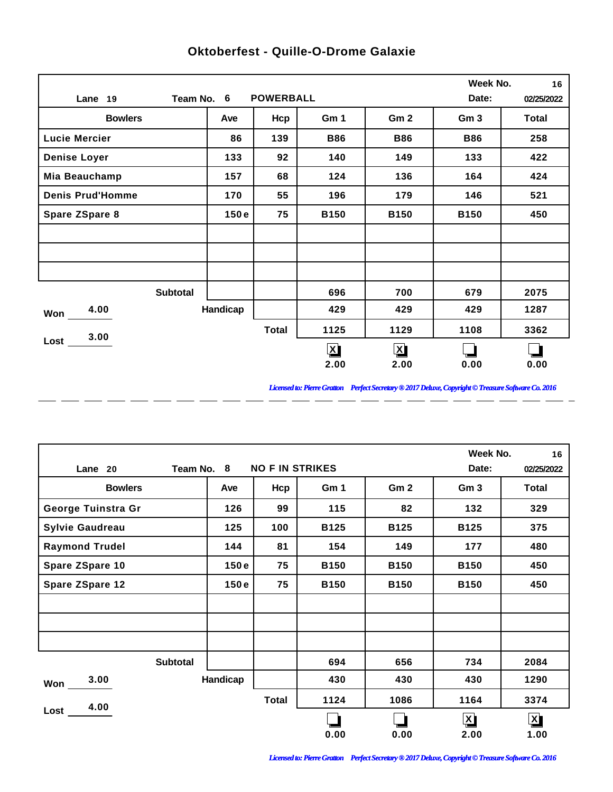|                         |          |                  |              |                 | Week No.        | 16           |
|-------------------------|----------|------------------|--------------|-----------------|-----------------|--------------|
| Team No. 6<br>Lane 19   |          | <b>POWERBALL</b> |              |                 | Date:           | 02/25/2022   |
| <b>Bowlers</b>          | Ave      | Hcp              | Gm 1         | Gm <sub>2</sub> | Gm <sub>3</sub> | <b>Total</b> |
| <b>Lucie Mercier</b>    | 86       | 139              | <b>B86</b>   | <b>B86</b>      | <b>B86</b>      | 258          |
| <b>Denise Loyer</b>     | 133      | 92               | 140          | 149             | 133             | 422          |
| Mia Beauchamp           | 157      | 68               | 124          | 136             | 164             | 424          |
| <b>Denis Prud'Homme</b> | 170      | 55               | 196          | 179             | 146             | 521          |
| Spare ZSpare 8          | 150e     | 75               | <b>B150</b>  | <b>B150</b>     | <b>B150</b>     | 450          |
|                         |          |                  |              |                 |                 |              |
|                         |          |                  |              |                 |                 |              |
|                         |          |                  |              |                 |                 |              |
| <b>Subtotal</b>         |          |                  | 696          | 700             | 679             | 2075         |
| 4.00<br>Won             | Handicap |                  | 429          | 429             | 429             | 1287         |
| 3.00                    |          | <b>Total</b>     | 1125         | 1129            | 1108            | 3362         |
| Lost                    |          |                  | $\mathbf{X}$ | $\mathbf{X}$    |                 |              |
|                         |          |                  | 2.00         | 2.00            | 0.00            | 0.00         |

 $-$ 

 $\overline{a}$ 

 $\overline{a}$ 

 $\overline{a}$ 

 $\overline{a}$ 

 $\overline{a}$ 

 $\overline{a}$ 

 $\overline{a}$ 

## **Oktoberfest - Quille-O-Drome Galaxie**

*Licensed to: Pierre Gratton Perfect Secretary ® 2017 Deluxe, Copyright © Treasure Software Co. 2016*

<u> 2002 - 2003 - 2003 - 2003 - 2003 - 2003 - 2003 - 2003 - 2003 - 2003 - 2003 - 2003 - 2003 - 2003 - 2003 - 200</u>

|                        |            |                        |             |                 | Week No.        | 16                      |
|------------------------|------------|------------------------|-------------|-----------------|-----------------|-------------------------|
| Lane 20                | Team No. 8 | <b>NO F IN STRIKES</b> |             |                 | Date:           | 02/25/2022              |
| <b>Bowlers</b>         | Ave        | Hcp                    | Gm 1        | Gm <sub>2</sub> | Gm <sub>3</sub> | Total                   |
| George Tuinstra Gr     | 126        | 99                     | 115         | 82              | 132             | 329                     |
| <b>Sylvie Gaudreau</b> | 125        | 100                    | <b>B125</b> | <b>B125</b>     | <b>B125</b>     | 375                     |
| <b>Raymond Trudel</b>  | 144        | 81                     | 154         | 149             | 177             | 480                     |
| Spare ZSpare 10        | 150e       | 75                     | <b>B150</b> | <b>B150</b>     | <b>B150</b>     | 450                     |
| Spare ZSpare 12        | 150e       | 75                     | <b>B150</b> | <b>B150</b>     | <b>B150</b>     | 450                     |
|                        |            |                        |             |                 |                 |                         |
|                        |            |                        |             |                 |                 |                         |
|                        |            |                        |             |                 |                 |                         |
| <b>Subtotal</b>        |            |                        | 694         | 656             | 734             | 2084                    |
| 3.00<br>Won            | Handicap   |                        | 430         | 430             | 430             | 1290                    |
| 4.00                   |            | <b>Total</b>           | 1124        | 1086            | 1164            | 3374                    |
| Lost                   |            |                        |             |                 | $\mathbf{X}$    | $\overline{\mathbf{X}}$ |
|                        |            |                        | 0.00        | 0.00            | 2.00            | 1.00                    |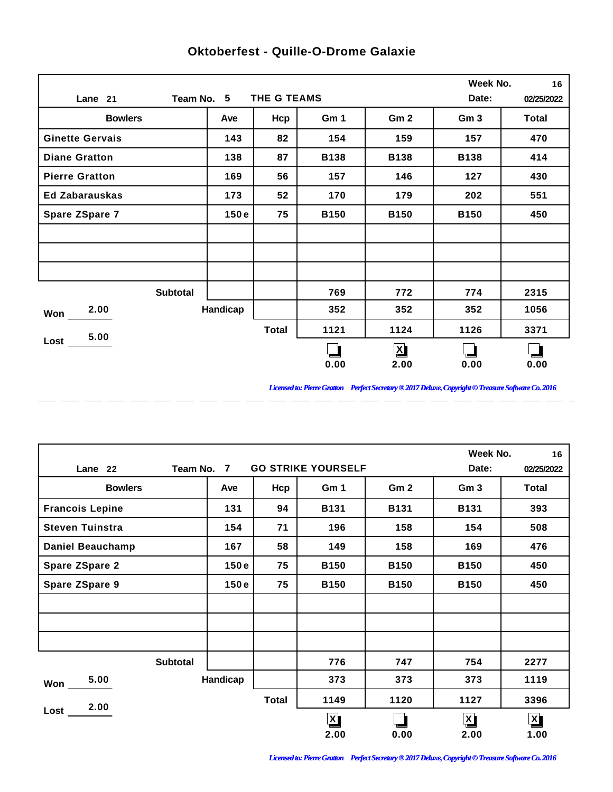|                        |            |              |             |                 | Week No.        | 16           |
|------------------------|------------|--------------|-------------|-----------------|-----------------|--------------|
| Lane 21                | Team No. 5 | THE G TEAMS  |             |                 | Date:           | 02/25/2022   |
| <b>Bowlers</b>         | Ave        | Hcp          | Gm 1        | Gm <sub>2</sub> | Gm <sub>3</sub> | <b>Total</b> |
| <b>Ginette Gervais</b> | 143        | 82           | 154         | 159             | 157             | 470          |
| <b>Diane Gratton</b>   | 138        | 87           | <b>B138</b> | <b>B138</b>     | <b>B138</b>     | 414          |
| <b>Pierre Gratton</b>  | 169        | 56           | 157         | 146             | 127             | 430          |
| <b>Ed Zabarauskas</b>  | 173        | 52           | 170         | 179             | 202             | 551          |
| Spare ZSpare 7         | 150e       | 75           | <b>B150</b> | <b>B150</b>     | <b>B150</b>     | 450          |
|                        |            |              |             |                 |                 |              |
|                        |            |              |             |                 |                 |              |
|                        |            |              |             |                 |                 |              |
| <b>Subtotal</b>        |            |              | 769         | 772             | 774             | 2315         |
| 2.00<br>Won            | Handicap   |              | 352         | 352             | 352             | 1056         |
| 5.00                   |            | <b>Total</b> | 1121        | 1124            | 1126            | 3371         |
| $Loss$ $\qquad$        |            |              |             | $\mathbf{X}$    |                 |              |
|                        |            |              | 0.00        | 2.00            | 0.00            | 0.00         |

 $-$ 

 $\overline{a}$ 

 $\overline{a}$ 

 $\overline{a}$ 

 $\overline{a}$ 

 $\overline{a}$ 

 $\overline{a}$ 

 $\overline{a}$ 

## **Oktoberfest - Quille-O-Drome Galaxie**

*Licensed to: Pierre Gratton Perfect Secretary ® 2017 Deluxe, Copyright © Treasure Software Co. 2016*

<u> 2002 - 2003 - 2003 - 2003 - 2003 - 2003 - 2003 - 2003 - 2003 - 2003 - 2003 - 2003 - 2003 - 2003 - 2003 - 200</u>

|                         |                                         |          |              |              |                 | Week No.                | 16           |  |
|-------------------------|-----------------------------------------|----------|--------------|--------------|-----------------|-------------------------|--------------|--|
| Lane 22                 | <b>GO STRIKE YOURSELF</b><br>Team No. 7 |          |              |              |                 |                         |              |  |
| <b>Bowlers</b>          |                                         | Ave      | Hcp          | Gm 1         | Gm <sub>2</sub> | Gm <sub>3</sub>         | <b>Total</b> |  |
| <b>Francois Lepine</b>  |                                         | 131      | 94           | <b>B131</b>  | <b>B131</b>     | <b>B131</b>             | 393          |  |
| <b>Steven Tuinstra</b>  |                                         | 154      | 71           | 196          | 158             | 154                     | 508          |  |
| <b>Daniel Beauchamp</b> |                                         | 167      | 58           | 149          | 158             | 169                     | 476          |  |
| <b>Spare ZSpare 2</b>   |                                         | 150e     | 75           | <b>B150</b>  | <b>B150</b>     | <b>B150</b>             | 450          |  |
| Spare ZSpare 9          |                                         | 150e     | 75           | <b>B150</b>  | <b>B150</b>     | <b>B150</b>             | 450          |  |
|                         |                                         |          |              |              |                 |                         |              |  |
|                         |                                         |          |              |              |                 |                         |              |  |
|                         |                                         |          |              |              |                 |                         |              |  |
|                         | <b>Subtotal</b>                         |          |              | 776          | 747             | 754                     | 2277         |  |
| 5.00<br>Won             |                                         | Handicap |              | 373          | 373             | 373                     | 1119         |  |
| 2.00                    |                                         |          | <b>Total</b> | 1149         | 1120            | 1127                    | 3396         |  |
| Lost                    |                                         |          |              | $\mathbf{X}$ |                 | $\overline{\mathbf{X}}$ | $\mathbf{X}$ |  |
|                         |                                         |          |              | 2.00         | 0.00            | 2.00                    | 1.00         |  |